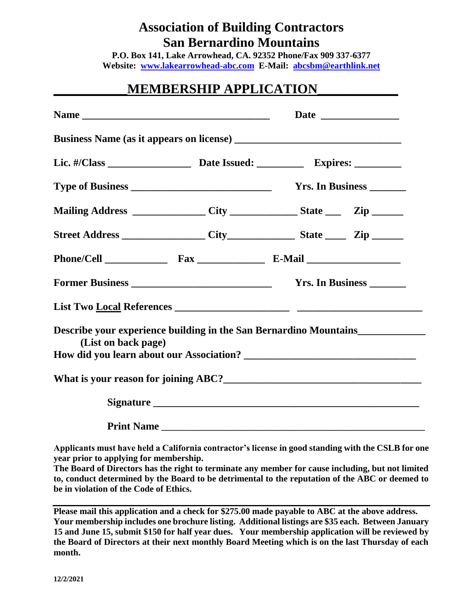## **Association of Building Contractors San Bernardino Mountains**

**P.O. Box 141, Lake Arrowhead, CA. 92352 Phone/Fax 909 337-6377 Website: [www.lakearrowhead-abc.com](http://www.lakearrowhead-abc.com/) E-Mail: [abcsbm@earthlink.net](mailto:abcsbm@earthlink.net)**

## **\_\_\_\_\_\_\_\_\_\_\_MEMBERSHIP APPLICATION\_\_\_\_\_\_\_\_\_\_\_\_**

|                                                                                                         |  |  | Yrs. In Business ________ |  |
|---------------------------------------------------------------------------------------------------------|--|--|---------------------------|--|
|                                                                                                         |  |  |                           |  |
| Mailing Address ________________City _______________State _______Zip ___________                        |  |  |                           |  |
|                                                                                                         |  |  |                           |  |
|                                                                                                         |  |  |                           |  |
|                                                                                                         |  |  | Yrs. In Business _______  |  |
|                                                                                                         |  |  |                           |  |
| Describe your experience building in the San Bernardino Mountains_______________<br>(List on back page) |  |  |                           |  |
|                                                                                                         |  |  |                           |  |
|                                                                                                         |  |  |                           |  |
|                                                                                                         |  |  |                           |  |
|                                                                                                         |  |  |                           |  |

**Applicants must have held a California contractor's license in good standing with the CSLB for one year prior to applying for membership.**

**The Board of Directors has the right to terminate any member for cause including, but not limited to, conduct determined by the Board to be detrimental to the reputation of the ABC or deemed to be in violation of the Code of Ethics.**

**Please mail this application and a check for \$275.00 made payable to ABC at the above address. Your membership includes one brochure listing. Additional listings are \$35 each. Between January 15 and June 15, submit \$150 for half year dues. Your membership application will be reviewed by the Board of Directors at their next monthly Board Meeting which is on the last Thursday of each month.**